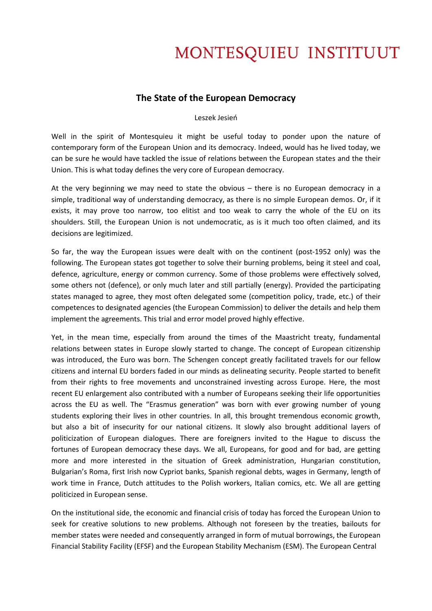## MONTESQUIEU INSTITUUT

## **The State of the European Democracy**

#### Leszek Jesień

Well in the spirit of Montesquieu it might be useful today to ponder upon the nature of contemporary form of the European Union and its democracy. Indeed, would has he lived today, we can be sure he would have tackled the issue of relations between the European states and the their Union. This is what today defines the very core of European democracy.

At the very beginning we may need to state the obvious – there is no European democracy in a simple, traditional way of understanding democracy, as there is no simple European demos. Or, if it exists, it may prove too narrow, too elitist and too weak to carry the whole of the EU on its shoulders. Still, the European Union is not undemocratic, as is it much too often claimed, and its decisions are legitimized.

So far, the way the European issues were dealt with on the continent (post-1952 only) was the following. The European states got together to solve their burning problems, being it steel and coal, defence, agriculture, energy or common currency. Some of those problems were effectively solved, some others not (defence), or only much later and still partially (energy). Provided the participating states managed to agree, they most often delegated some (competition policy, trade, etc.) of their competences to designated agencies (the European Commission) to deliver the details and help them implement the agreements. This trial and error model proved highly effective.

Yet, in the mean time, especially from around the times of the Maastricht treaty, fundamental relations between states in Europe slowly started to change. The concept of European citizenship was introduced, the Euro was born. The Schengen concept greatly facilitated travels for our fellow citizens and internal EU borders faded in our minds as delineating security. People started to benefit from their rights to free movements and unconstrained investing across Europe. Here, the most recent EU enlargement also contributed with a number of Europeans seeking their life opportunities across the EU as well. The "Erasmus generation" was born with ever growing number of young students exploring their lives in other countries. In all, this brought tremendous economic growth, but also a bit of insecurity for our national citizens. It slowly also brought additional layers of politicization of European dialogues. There are foreigners invited to the Hague to discuss the fortunes of European democracy these days. We all, Europeans, for good and for bad, are getting more and more interested in the situation of Greek administration, Hungarian constitution, Bulgarian's Roma, first Irish now Cypriot banks, Spanish regional debts, wages in Germany, length of work time in France, Dutch attitudes to the Polish workers, Italian comics, etc. We all are getting politicized in European sense.

On the institutional side, the economic and financial crisis of today has forced the European Union to seek for creative solutions to new problems. Although not foreseen by the treaties, bailouts for member states were needed and consequently arranged in form of mutual borrowings, the European Financial Stability Facility (EFSF) and the European Stability Mechanism (ESM). The European Central